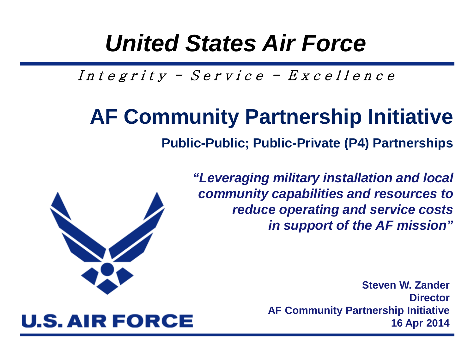#### *United States Air Force*

Integrity - Service -  $Exercise 11$ ence

**U.S. AIR FORCE** 

#### **AF Community Partnership Initiative**

**Public-Public; Public-Private (P4) Partnerships** 

*"Leveraging military installation and local community capabilities and resources to reduce operating and service costs in support of the AF mission"*

> **Steven W. Zander Director AF Community Partnership Initiative 16 Apr 2014**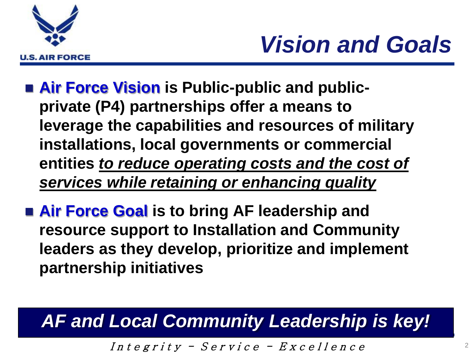



- **Air Force Vision** is Public-public and public**private (P4) partnerships offer a means to leverage the capabilities and resources of military installations, local governments or commercial entities** *to reduce operating costs and the cost of services while retaining or enhancing quality*
- **Air Force Goal** is to bring AF leadership and **resource support to Installation and Community leaders as they develop, prioritize and implement partnership initiatives**

#### *AF and Local Community Leadership is key!*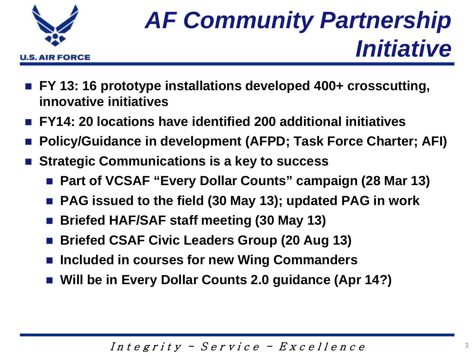

## *AF Community Partnership Initiative*

- FY 13: 16 prototype installations developed 400+ crosscutting, **innovative initiatives**
- **FY14: 20 locations have identified 200 additional initiatives**
- **Policy/Guidance in development (AFPD; Task Force Charter; AFI)**
- **Strategic Communications is a key to success**
	- Part of VCSAF "Every Dollar Counts" campaign (28 Mar 13)
	- **PAG issued to the field (30 May 13); updated PAG in work**
	- **Briefed HAF/SAF staff meeting (30 May 13)**
	- **Briefed CSAF Civic Leaders Group (20 Aug 13)**
	- Included in courses for new Wing Commanders
	- **Will be in Every Dollar Counts 2.0 guidance (Apr 14?)**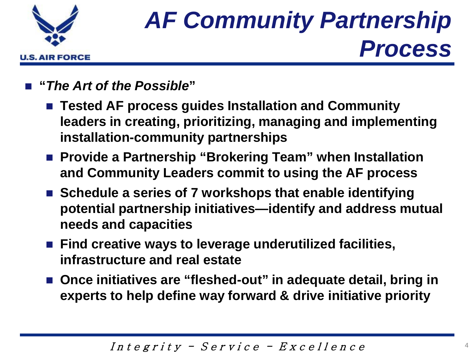

# *AF Community Partnership Process*

- **"***The Art of the Possible***"**
	- Tested AF process guides Installation and Community **leaders in creating, prioritizing, managing and implementing installation-community partnerships**
	- Provide a Partnership "Brokering Team" when Installation **and Community Leaders commit to using the AF process**
	- Schedule a series of 7 workshops that enable identifying **potential partnership initiatives—identify and address mutual needs and capacities**
	- Find creative ways to leverage underutilized facilities, **infrastructure and real estate**
	- Once initiatives are "fleshed-out" in adequate detail, bring in **experts to help define way forward & drive initiative priority**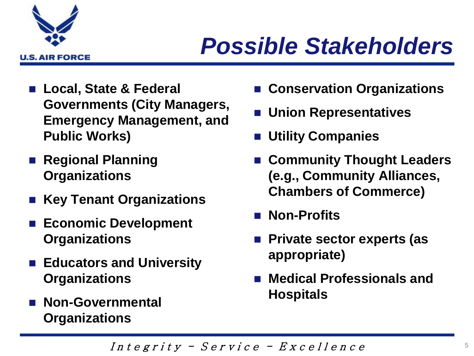

## *Possible Stakeholders*

- **Local, State & Federal Governments (City Managers, Emergency Management, and Public Works)**
- **Regional Planning Organizations**
- **Key Tenant Organizations**
- **Economic Development Organizations**
- **Educators and University Organizations**
- **Non-Governmental Organizations**
- **Conservation Organizations**
- **Union Representatives**
- **Utility Companies**
- **Community Thought Leaders (e.g., Community Alliances, Chambers of Commerce)**
- Non-Profits
- Private sector experts (as **appropriate)**
- **Medical Professionals and Hospitals**

Integrity - Service -  $Exercise 11$ ence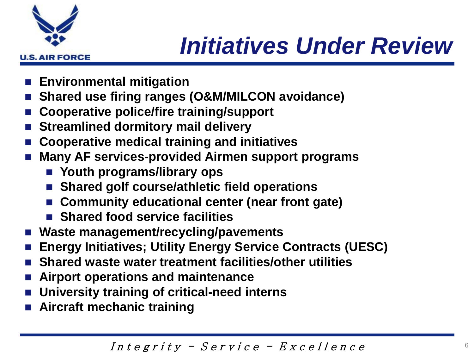

## *Initiatives Under Review*

- **Environmental mitigation**
- **Shared use firing ranges (O&M/MILCON avoidance)**
- **Cooperative police/fire training/support**
- **Streamlined dormitory mail delivery**
- **Cooperative medical training and initiatives**
- **Many AF services-provided Airmen support programs**
	- **Youth programs/library ops**
	- Shared golf course/athletic field operations
	- **Community educational center (near front gate)**
	- **Shared food service facilities**
- **Waste management/recycling/pavements**
- **Energy Initiatives; Utility Energy Service Contracts (UESC)**
- **Shared waste water treatment facilities/other utilities**
- **Airport operations and maintenance**
- **University training of critical-need interns**
- **Aircraft mechanic training**